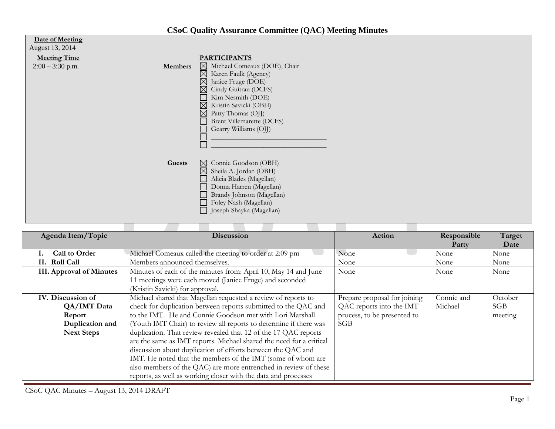## **CSoC Quality Assurance Committee (QAC) Meeting Minutes**

| <b>Date of Meeting</b><br>August 13, 2014 |         |                                                                                                                                                                                                                                                                                                                                      |
|-------------------------------------------|---------|--------------------------------------------------------------------------------------------------------------------------------------------------------------------------------------------------------------------------------------------------------------------------------------------------------------------------------------|
| <b>Meeting Time</b><br>$2:00 - 3:30$ p.m. | Members | <b>PARTICIPANTS</b><br>$\boxtimes$ Michael Comeaux (DOE), Chair<br>$\boxtimes$ Karen Faulk (Agency)<br>$\boxtimes$<br>Janice Fruge (DOE)<br>⊠<br>Cindy Guitrau (DCFS)<br>Kim Nesmith (DOE)<br>$\boxtimes$<br>Kristin Savicki (OBH)<br>$\boxtimes$<br>Patty Thomas (OJJ)<br><b>Brent Villemarette (DCFS)</b><br>Gearry Williams (OJJ) |
|                                           | Guests  | $\boxtimes$ Connie Goodson (OBH)<br>$\boxtimes$ Sheila A. Jordan (OBH)<br>Alicia Blades (Magellan)<br>Donna Harren (Magellan)<br>Brandy Johnson (Magellan)<br>Foley Nash (Magellan)<br>Joseph Shayka (Magellan)                                                                                                                      |

| Agenda Item/Topic                                                                  | <b>Discussion</b>                                                                                                                                                                                                                                                                                                                                                                                                                                                                                                                                                                                                                                                             | Action                                                                                         | Responsible<br>Party  | Target<br>Date            |
|------------------------------------------------------------------------------------|-------------------------------------------------------------------------------------------------------------------------------------------------------------------------------------------------------------------------------------------------------------------------------------------------------------------------------------------------------------------------------------------------------------------------------------------------------------------------------------------------------------------------------------------------------------------------------------------------------------------------------------------------------------------------------|------------------------------------------------------------------------------------------------|-----------------------|---------------------------|
| Call to Order                                                                      | Michael Comeaux called the meeting to order at 2:09 pm                                                                                                                                                                                                                                                                                                                                                                                                                                                                                                                                                                                                                        | None                                                                                           | None                  | None                      |
| II. Roll Call                                                                      | Members announced themselves.                                                                                                                                                                                                                                                                                                                                                                                                                                                                                                                                                                                                                                                 | None                                                                                           | None                  | None                      |
| <b>III.</b> Approval of Minutes                                                    | Minutes of each of the minutes from: April 10, May 14 and June<br>11 meetings were each moved (Janice Fruge) and seconded<br>(Kristin Savicki) for approval.                                                                                                                                                                                                                                                                                                                                                                                                                                                                                                                  | None                                                                                           | None                  | None                      |
| IV. Discussion of<br>QA/IMT Data<br>Report<br>Duplication and<br><b>Next Steps</b> | Michael shared that Magellan requested a review of reports to<br>check for duplication between reports submitted to the QAC and<br>to the IMT. He and Connie Goodson met with Lori Marshall<br>(Youth IMT Chair) to review all reports to determine if there was<br>duplication. That review revealed that 12 of the 17 QAC reports<br>are the same as IMT reports. Michael shared the need for a critical<br>discussion about duplication of efforts between the QAC and<br>IMT. He noted that the members of the IMT (some of whom are<br>also members of the QAC) are more entrenched in review of these<br>reports, as well as working closer with the data and processes | Prepare proposal for joining<br>QAC reports into the IMT<br>process, to be presented to<br>SGB | Connie and<br>Michael | October<br>SGB<br>meeting |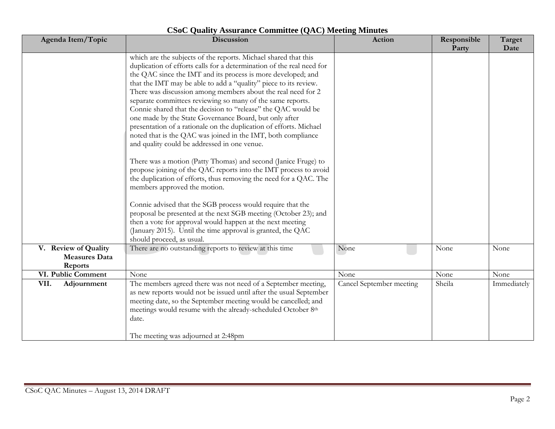| Agenda Item/Topic                                       | Discussion                                                                                                                                                                                                                                                                                                                                                                                                                                                                                                                                                                                                                                                                                                                                                                                                                                                                                                                                                                                                                                                                                                                                                                                                                                                       | Action                   | Responsible<br>Party | Target<br>Date |
|---------------------------------------------------------|------------------------------------------------------------------------------------------------------------------------------------------------------------------------------------------------------------------------------------------------------------------------------------------------------------------------------------------------------------------------------------------------------------------------------------------------------------------------------------------------------------------------------------------------------------------------------------------------------------------------------------------------------------------------------------------------------------------------------------------------------------------------------------------------------------------------------------------------------------------------------------------------------------------------------------------------------------------------------------------------------------------------------------------------------------------------------------------------------------------------------------------------------------------------------------------------------------------------------------------------------------------|--------------------------|----------------------|----------------|
|                                                         | which are the subjects of the reports. Michael shared that this<br>duplication of efforts calls for a determination of the real need for<br>the QAC since the IMT and its process is more developed; and<br>that the IMT may be able to add a "quality" piece to its review.<br>There was discussion among members about the real need for 2<br>separate committees reviewing so many of the same reports.<br>Connie shared that the decision to "release" the QAC would be<br>one made by the State Governance Board, but only after<br>presentation of a rationale on the duplication of efforts. Michael<br>noted that is the QAC was joined in the IMT, both compliance<br>and quality could be addressed in one venue.<br>There was a motion (Patty Thomas) and second (Janice Fruge) to<br>propose joining of the QAC reports into the IMT process to avoid<br>the duplication of efforts, thus removing the need for a QAC. The<br>members approved the motion.<br>Connie advised that the SGB process would require that the<br>proposal be presented at the next SGB meeting (October 23); and<br>then a vote for approval would happen at the next meeting<br>(January 2015). Until the time approval is granted, the QAC<br>should proceed, as usual. |                          |                      |                |
| V. Review of Quality<br><b>Measures Data</b><br>Reports | There are no outstanding reports to review at this time                                                                                                                                                                                                                                                                                                                                                                                                                                                                                                                                                                                                                                                                                                                                                                                                                                                                                                                                                                                                                                                                                                                                                                                                          | None                     | None                 | None           |
| VI. Public Comment                                      | None                                                                                                                                                                                                                                                                                                                                                                                                                                                                                                                                                                                                                                                                                                                                                                                                                                                                                                                                                                                                                                                                                                                                                                                                                                                             | None                     | None                 | None           |
| VII.<br>Adjournment                                     | The members agreed there was not need of a September meeting,<br>as new reports would not be issued until after the usual September<br>meeting date, so the September meeting would be cancelled; and<br>meetings would resume with the already-scheduled October 8th<br>date.<br>The meeting was adjourned at 2:48pm                                                                                                                                                                                                                                                                                                                                                                                                                                                                                                                                                                                                                                                                                                                                                                                                                                                                                                                                            | Cancel September meeting | Sheila               | Immediately    |

## **CSoC Quality Assurance Committee (QAC) Meeting Minutes**